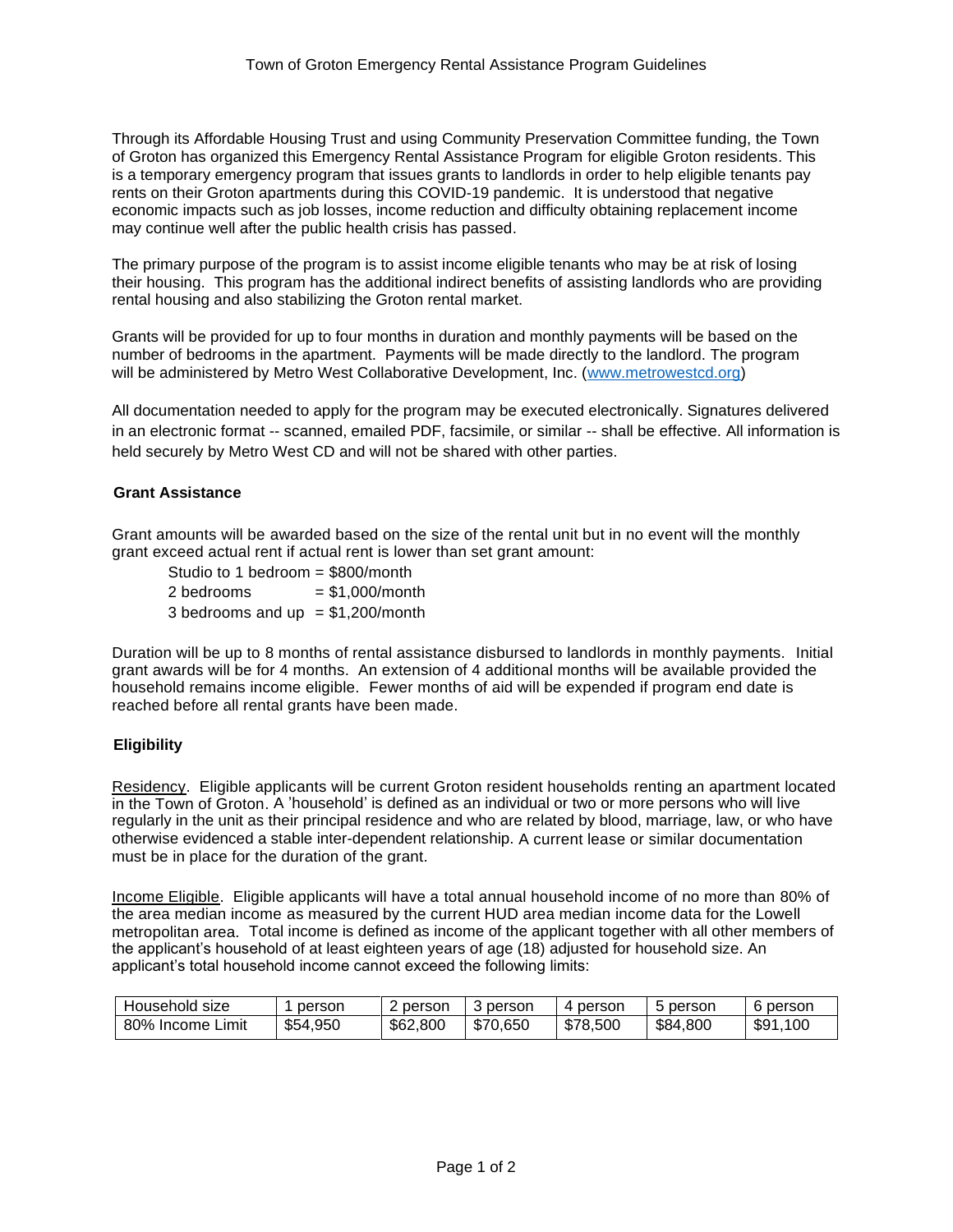Through its Affordable Housing Trust and using Community Preservation Committee funding, the Town of Groton has organized this Emergency Rental Assistance Program for eligible Groton residents. This is a temporary emergency program that issues grants to landlords in order to help eligible tenants pay rents on their Groton apartments during this COVID-19 pandemic. It is understood that negative economic impacts such as job losses, income reduction and difficulty obtaining replacement income may continue well after the public health crisis has passed.

The primary purpose of the program is to assist income eligible tenants who may be at risk of losing their housing. This program has the additional indirect benefits of assisting landlords who are providing rental housing and also stabilizing the Groton rental market.

Grants will be provided for up to four months in duration and monthly payments will be based on the number of bedrooms in the apartment. Payments will be made directly to the landlord. The program will be administered by Metro West Collaborative Development, Inc. [\(www.metrowestcd.org\)](http://www.metrowestcd.org/)

All documentation needed to apply for the program may be executed electronically. Signatures delivered in an electronic format -- scanned, emailed PDF, facsimile, or similar -- shall be effective. All information is held securely by Metro West CD and will not be shared with other parties.

# **Grant Assistance**

Grant amounts will be awarded based on the size of the rental unit but in no event will the monthly grant exceed actual rent if actual rent is lower than set grant amount:

Studio to 1 bedroom = \$800/month  $2 \text{ bedrooms} = $1,000/\text{month}$ 3 bedrooms and  $up = $1,200/month$ 

Duration will be up to 8 months of rental assistance disbursed to landlords in monthly payments. Initial grant awards will be for 4 months. An extension of 4 additional months will be available provided the household remains income eligible. Fewer months of aid will be expended if program end date is reached before all rental grants have been made.

## **Eligibility**

Residency. Eligible applicants will be current Groton resident households renting an apartment located in the Town of Groton. A 'household' is defined as an individual or two or more persons who will live regularly in the unit as their principal residence and who are related by blood, marriage, law, or who have otherwise evidenced a stable inter-dependent relationship. A current lease or similar documentation must be in place for the duration of the grant.

Income Eligible. Eligible applicants will have a total annual household income of no more than 80% of the area median income as measured by the current HUD area median income data for the Lowell metropolitan area. Total income is defined as income of the applicant together with all other members of the applicant's household of at least eighteen years of age (18) adjusted for household size. An applicant's total household income cannot exceed the following limits:

| Household size      | person   | 2 person | person   | 4 person | <b>b</b> person | 6 person      |
|---------------------|----------|----------|----------|----------|-----------------|---------------|
| 80% Income<br>Limit | \$54,950 | \$62,800 | \$70.650 | \$78,500 | \$84,800        | .100<br>\$91, |